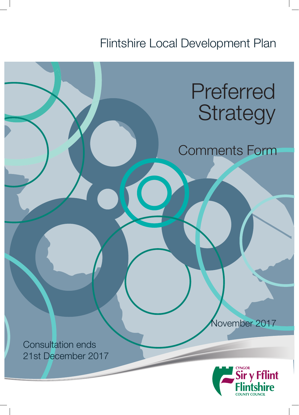Flintshire Local Development Plan

# Preferred **Strategy**

Comments Form

November 2017

Consultation ends 21st December 2017

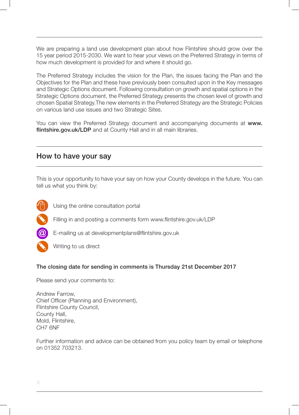We are preparing a land use development plan about how Flintshire should grow over the 15 year period 2015-2030. We want to hear your views on the Preferred Strategy in terms of how much development is provided for and where it should go.

The Preferred Strategy includes the vision for the Plan, the issues facing the Plan and the Objectives for the Plan and these have previously been consulted upon in the Key messages and Strategic Options document. Following consultation on growth and spatial options in the Strategic Options document, the Preferred Strategy presents the chosen level of growth and chosen Spatial Strategy.The new elements in the Preferred Strategy are the Strategic Policies on various land use issues and two Strategic Sites.

You can view the Preferred Strategy document and accompanying documents at www. flintshire.gov.uk/LDP and at County Hall and in all main libraries.

#### How to have your say

This is your opportunity to have your say on how your County develops in the future. You can tell us what you think by:



Using the online consultation portal

Filling in and posting a comments form www.flintshire.gov.uk/LDP



- E-mailing us at developmentplans@flintshire.gov.uk



#### The closing date for sending in comments is Thursday 21st December 2017

Please send your comments to:

Andrew Farrow, Chief Officer (Planning and Environment), Flintshire County Council, County Hall, Mold, Flintshire, CH7 6NF

Further information and advice can be obtained from you policy team by email or telephone on 01352 703213.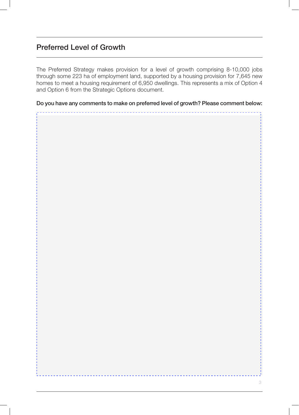#### Preferred Level of Growth

The Preferred Strategy makes provision for a level of growth comprising 8-10,000 jobs through some 223 ha of employment land, supported by a housing provision for 7,645 new homes to meet a housing requirement of 6,950 dwellings. This represents a mix of Option 4 and Option 6 from the Strategic Options document.

Do you have any comments to make on preferred level of growth? Please comment below:

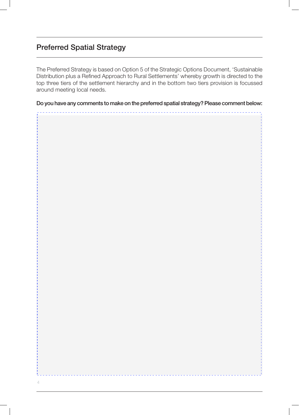### Preferred Spatial Strategy

The Preferred Strategy is based on Option 5 of the Strategic Options Document, 'Sustainable Distribution plus a Refined Approach to Rural Settlements' whereby growth is directed to the top three tiers of the settlement hierarchy and in the bottom two tiers provision is focussed around meeting local needs.

Do you have any comments to make on the preferred spatial strategy? Please comment below:

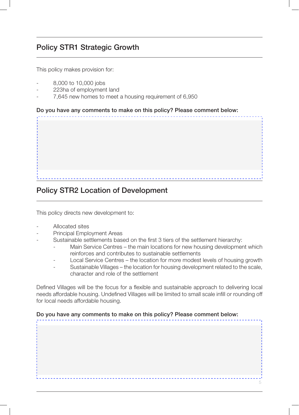#### Policy STR1 Strategic Growth

This policy makes provision for:

- 8,000 to 10,000 jobs
- 223ha of employment land
- 7,645 new homes to meet a housing requirement of 6,950

#### Do you have any comments to make on this policy? Please comment below:



#### Policy STR2 Location of Development

This policy directs new development to:

- Allocated sites
- Principal Employment Areas
- Sustainable settlements based on the first 3 tiers of the settlement hierarchy:
	- Main Service Centres the main locations for new housing development which reinforces and contributes to sustainable settlements
	- Local Service Centres the location for more modest levels of housing growth
	- Sustainable Villages the location for housing development related to the scale, character and role of the settlement

Defined Villages will be the focus for a flexible and sustainable approach to delivering local needs affordable housing. Undefined Villages will be limited to small scale infill or rounding off for local needs affordable housing.

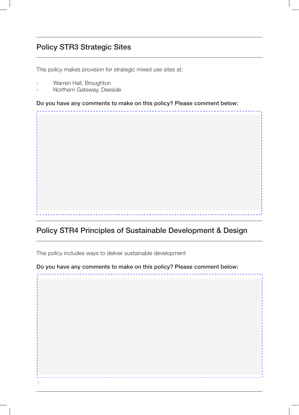### Policy STR3 Strategic Sites

This policy makes provision for strategic mixed use sites at:

Warren Hall, Broughton

6

Northern Gateway, Deeside

Do you have any comments to make on this policy? Please comment below:

Policy STR4 Principles of Sustainable Development & Design

This policy includes ways to deliver sustainable development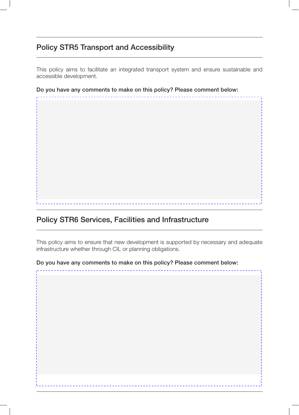#### Policy STR5 Transport and Accessibility

This policy aims to facilitate an integrated transport system and ensure sustainable and accessible development.

Do you have any comments to make on this policy? Please comment below:

### Policy STR6 Services, Facilities and Infrastructure

This policy aims to ensure that new development is supported by necessary and adequate infrastructure whether through CIL or planning obligations.

7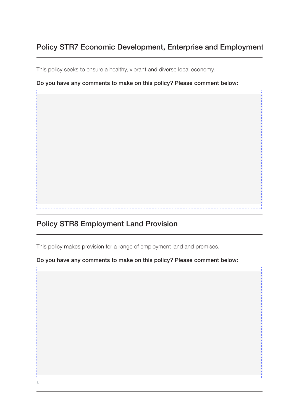### Policy STR7 Economic Development, Enterprise and Employment

This policy seeks to ensure a healthy, vibrant and diverse local economy.

Do you have any comments to make on this policy? Please comment below:

### Policy STR8 Employment Land Provision

This policy makes provision for a range of employment land and premises.

8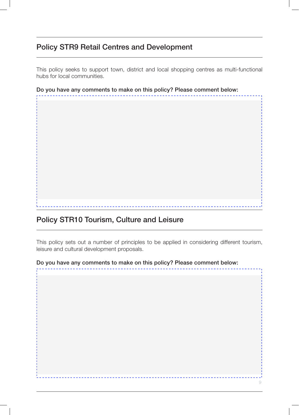#### Policy STR9 Retail Centres and Development

This policy seeks to support town, district and local shopping centres as multi-functional hubs for local communities.

Do you have any comments to make on this policy? Please comment below:

### Policy STR10 Tourism, Culture and Leisure

This policy sets out a number of principles to be applied in considering different tourism, leisure and cultural development proposals.

9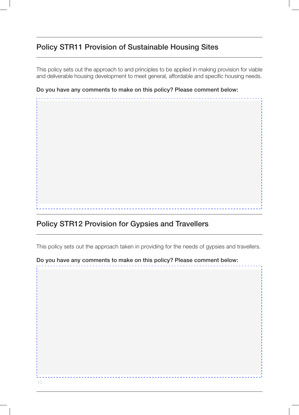### Policy STR11 Provision of Sustainable Housing Sites

This policy sets out the approach to and principles to be applied in making provision for viable and deliverable housing development to meet general, affordable and specific housing needs.

Do you have any comments to make on this policy? Please comment below:

### Policy STR12 Provision for Gypsies and Travellers

This policy sets out the approach taken in providing for the needs of gypsies and travellers.

10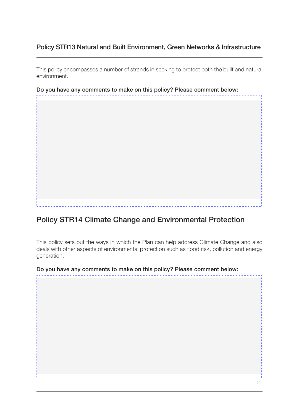#### Policy STR13 Natural and Built Environment, Green Networks & Infrastructure

This policy encompasses a number of strands in seeking to protect both the built and natural environment.

Do you have any comments to make on this policy? Please comment below:

## Policy STR14 Climate Change and Environmental Protection

This policy sets out the ways in which the Plan can help address Climate Change and also deals with other aspects of environmental protection such as flood risk, pollution and energy generation.

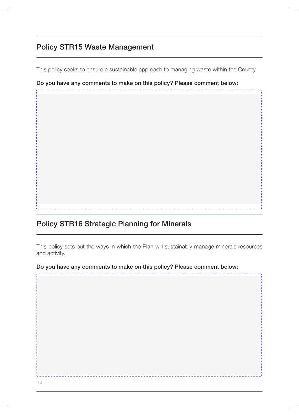#### Policy STR15 Waste Management

This policy seeks to ensure a sustainable approach to managing waste within the County.

Do you have any comments to make on this policy? Please comment below:

### Policy STR16 Strategic Planning for Minerals

This policy sets out the ways in which the Plan will sustainably manage minerals resources and activity.

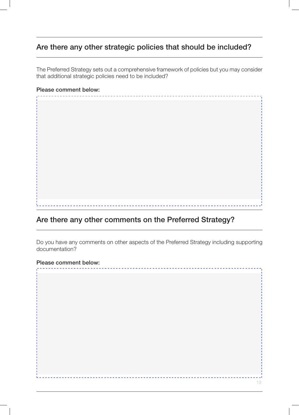#### Are there any other strategic policies that should be included?

The Preferred Strategy sets out a comprehensive framework of policies but you may consider that additional strategic policies need to be included?

#### Please comment below:

### Are there any other comments on the Preferred Strategy?

Do you have any comments on other aspects of the Preferred Strategy including supporting documentation?

13

#### Please comment below: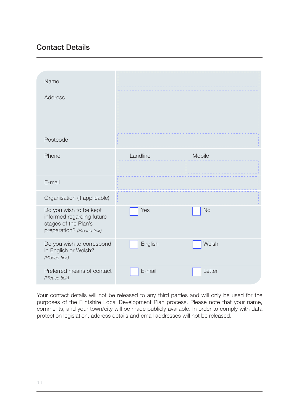### Contact Details

| Name                                                                                                      |          |                                        |  |
|-----------------------------------------------------------------------------------------------------------|----------|----------------------------------------|--|
| Address                                                                                                   |          |                                        |  |
| Postcode                                                                                                  |          |                                        |  |
| Phone                                                                                                     | Landline | Mobile<br>$\mathbf{H}$<br>$\mathbf{L}$ |  |
| E-mail                                                                                                    |          |                                        |  |
| Organisation (if applicable)                                                                              |          |                                        |  |
| Do you wish to be kept<br>informed regarding future<br>stages of the Plan's<br>preparation? (Please tick) | Yes      | <b>No</b>                              |  |
| Do you wish to correspond<br>in English or Welsh?<br>(Please tick)                                        | English  | Welsh                                  |  |
| Preferred means of contact<br>(Please tick)                                                               | E-mail   | Letter                                 |  |

Your contact details will not be released to any third parties and will only be used for the purposes of the Flintshire Local Development Plan process. Please note that your name, comments, and your town/city will be made publicly available. In order to comply with data protection legislation, address details and email addresses will not be released.